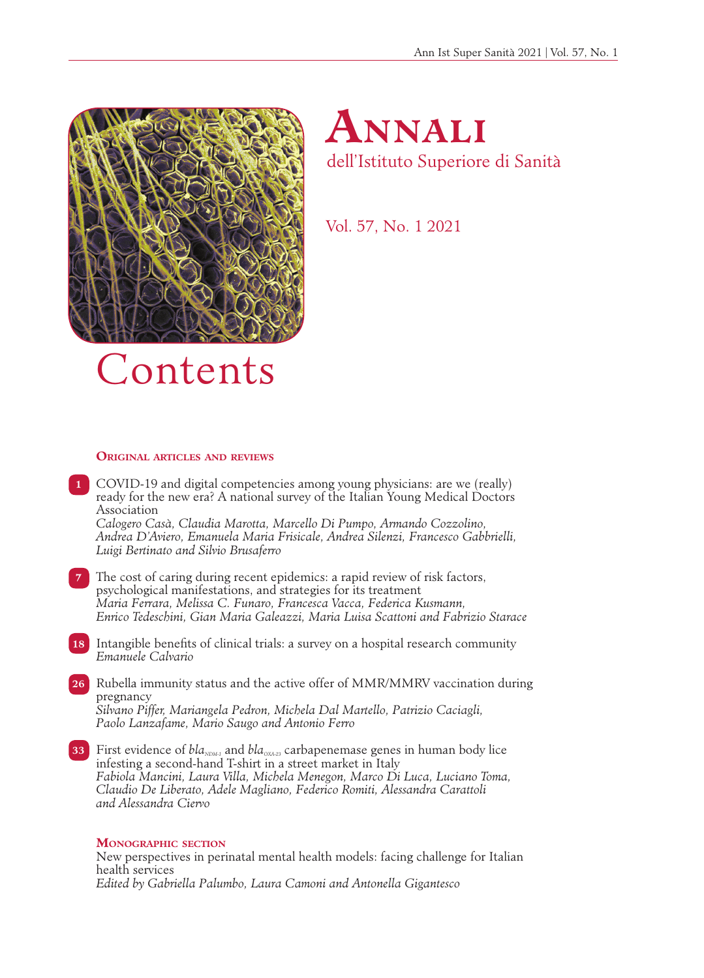



Vol. 57, No. 1 2021

## **Original articles and reviews**

**1** COVID-19 and digital competencies among young physicians: are we (really) ready for the new era? A national survey of the Italian Young Medical Doctors Association

*Calogero Casà, Claudia Marotta, Marcello Di Pumpo, Armando Cozzolino, Andrea D'Aviero, Emanuela Maria Frisicale, Andrea Silenzi, Francesco Gabbrielli, Luigi Bertinato and Silvio Brusaferro*

- **7** The cost of caring during recent epidemics: a rapid review of risk factors, psychological manifestations, and strategies for its treatment *Maria Ferrara, Melissa C. Funaro, Francesca Vacca, Federica Kusmann, Enrico Tedeschini, Gian Maria Galeazzi, Maria Luisa Scattoni and Fabrizio Starace*
- **18** Intangible benefits of clinical trials: a survey on a hospital research community *Emanuele Calvario*
- **26** Rubella immunity status and the active offer of MMR/MMRV vaccination during pregnancy *Silvano Piffer, Mariangela Pedron, Michela Dal Martello, Patrizio Caciagli, Paolo Lanzafame, Mario Saugo and Antonio Ferro*
- **33** First evidence of *bla<sub>NDM-1</sub>* and *bla<sub>OXA-23</sub>* carbapenemase genes in human body lice infesting a second-hand T-shirt in a street market in Italy *Fabiola Mancini, Laura Villa, Michela Menegon, Marco Di Luca, Luciano Toma, Claudio De Liberato, Adele Magliano, Federico Romiti, Alessandra Carattoli and Alessandra Ciervo*

## **Monographic section**

**1** New perspectives in perinatal mental health models: facing challenge for Italian health services *Edited by Gabriella Palumbo, Laura Camoni and Antonella Gigantesco*